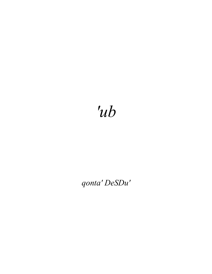## 'ub

## qonta' DeSDu'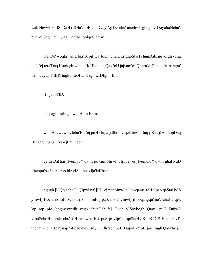wab HevwI' vIlIS. DaH rISHa'choH chaDvay' 'ej De' chu' muchwI' ghogh vIQoychoHchu'. pun 'ej Sagh 'ej 'IQlaH'. qa'wIj qolqoS chIw.

«'ej De' woqta' 'amerIqa' SepjIjQa' logh tum. tera' ghoStaH chunDab. nuyorgh veng juch 'ej tera'Daq Hoch yInwI'pu' HoHbej. jaj Qav 'oH jajvam'e'. Qunra'vaD pejatlh. bangra' tIrI'. qaytu'lI' tIrI'. tugh nItebHa' Hegh wIDIgh. rIn.»

rIn jabbI'ID.

qa' pagh rurbogh wabHom Ham.

wab HevwI'wI' vIchu'Ha' 'ej puH DujwIj tlhop vIqel. taw'a'Daq jISat. jIH tlhopDaq Hutvagh tu'lu'. «va» jIjatlh'egh.

qatlh DaHjaj jIvumpu'? qatlh povam pInwI' vIrI'be' 'ej jIvumQo'? qatlh ghaHvaD jIneppu'be'? tera' rop bIr vISuqpu' vIja'laHba'pu'.

ngugh jI'IQqu'choH. QIpwI'na' jIH. 'ej not pInwI' vI'omqang. reH jIpab qaStaHvIS yInwIj Hoch. not jIbIv. not jI'om—reH jIpab. nIv'a' yInwIj jIlobqangqu'mo'? chal vIqel. 'op rep pIq 'engmeyvetlh vegh chunDab 'ej Hoch vISovbogh Qaw'. puH DujwIj vIbuSchoH. Tesla chu' 'oH. wa'wen Hu' puS je vIje'ta'. qaStaHvIS loS DIS Huch vIvI', tagha' vIje'laHpa'. nap 'oH; lo'mey Hoy Hutlh 'ach puH DujwIj'e' 'oH jay'. tugh Qaw'lu' je.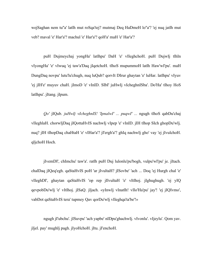wejSaghan nem tu''a' latlh mut roSqa'tej? mutmaj Deq HaDmeH lo''a'? 'ej nuq jatlh mut veb? maval 'e' Har'a'? machul 'e' Har'a'? qoH'a' maH 'e' Har'a'?

puH Dujmeychaj yongHa' latlhpu' DaH 'e' vIleghchoH. puH DujwIj tlhIn vIyongHa' 'e' vIwuq 'ej taw'a'Daq jIqetchoH. tlhoS mupummoH latlh Haw'wI'pu'. maH DungDaq novpu' lutu'lu'chugh, nuq luQub? qorvIt DIrur ghaytan 'e' luHar. latlhpu' vIyuv 'ej jIH'e' muyuv chaH. jImoD 'e' vInID. SIbI' juHwIj vIcheghnISba'. Do'Ha' tlhoy HoS latlhpu'. jItang. jIpum.

*Qo'* jIQub. *juHwIj vIcheghnIS! 'IpnalwI' ... puqwI' ...* ngugh tlhoS qabDu'chaj vIleghlaH. chorwIjDaq jIQottaHvIS nachwIj vIpep 'e' vInID. jIH tlhop SIch ghopDu'wIj. nuq? jIH tlhopDaq chaHtaH 'e' vIHar'a'? jI'ergh'a'? ghIq nachwIj gho' vay 'ej jIvulchoH. qIjchoH Hoch.

jIvemDI', chImchu' taw'a'. ratlh puH Duj lulonlu'pu'bogh, vulpu'wI'pu' je. jItach. chalDaq jIQeq'egh. qaStaHvIS poH 'ar jIvultaH? jISovbe' 'ach ... Doq 'ej Hurgh chal 'e' vIleghDI', ghaytan qaStaHvIS 'op rep jIlvultaH 'e' vItlhoj. jIghughugh. 'ej yIQ qevpobDu'wIj 'e' vItlhoj. jISaQ. jIjach. «yInwIj vInatlh! vIlo'Ha'pu' jay'! 'ej jIQIvmo', vabDot qaStaHvIS tera' tupmey Qav qorDu'wIj vIleghqa'ta'be'!»

ngugh jI'ubchu'. jISuvpu' 'ach yapbe' nIDpu'ghachwIj. vIvonlu'. vIjeylu'. Qom yav. jIjel. pay' mughIj pagh. jIyoHchoH. jItu. jI'enchoH.